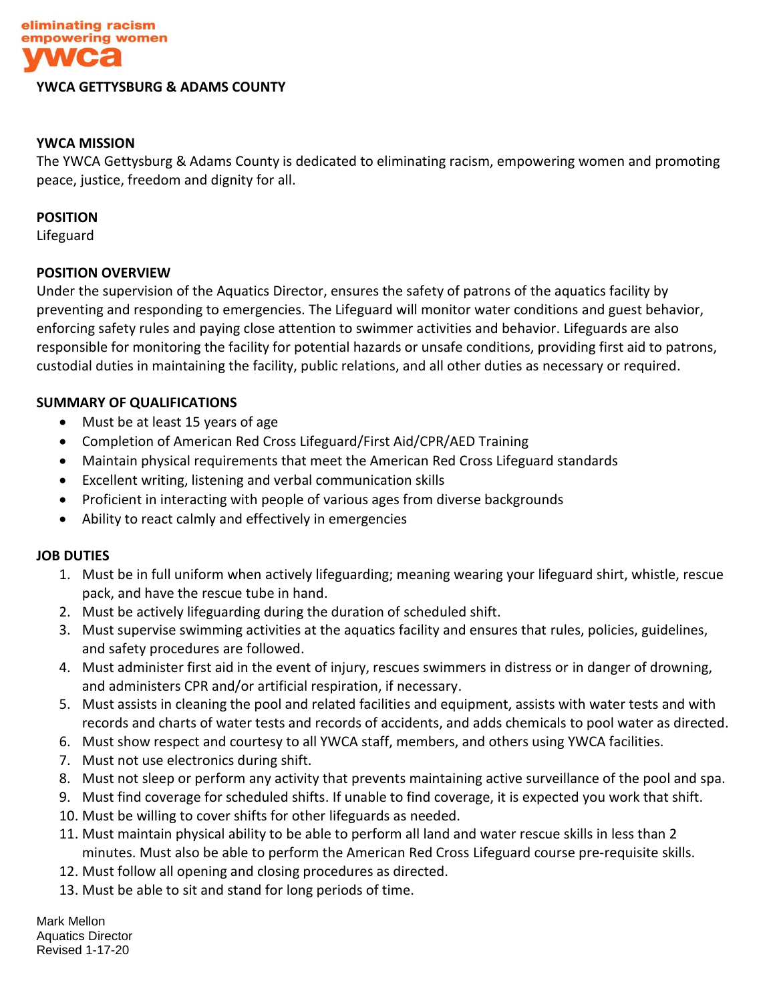

#### **YWCA GETTYSBURG & ADAMS COUNTY**

### **YWCA MISSION**

The YWCA Gettysburg & Adams County is dedicated to eliminating racism, empowering women and promoting peace, justice, freedom and dignity for all.

#### **POSITION**

Lifeguard

### **POSITION OVERVIEW**

Under the supervision of the Aquatics Director, ensures the safety of patrons of the aquatics facility by preventing and responding to emergencies. The Lifeguard will monitor water conditions and guest behavior, enforcing safety rules and paying close attention to swimmer activities and behavior. Lifeguards are also responsible for monitoring the facility for potential hazards or unsafe conditions, providing first aid to patrons, custodial duties in maintaining the facility, public relations, and all other duties as necessary or required.

## **SUMMARY OF QUALIFICATIONS**

- Must be at least 15 years of age
- Completion of American Red Cross Lifeguard/First Aid/CPR/AED Training
- Maintain physical requirements that meet the American Red Cross Lifeguard standards
- Excellent writing, listening and verbal communication skills
- Proficient in interacting with people of various ages from diverse backgrounds
- Ability to react calmly and effectively in emergencies

### **JOB DUTIES**

- 1. Must be in full uniform when actively lifeguarding; meaning wearing your lifeguard shirt, whistle, rescue pack, and have the rescue tube in hand.
- 2. Must be actively lifeguarding during the duration of scheduled shift.
- 3. Must supervise swimming activities at the aquatics facility and ensures that rules, policies, guidelines, and safety procedures are followed.
- 4. Must administer first aid in the event of injury, rescues swimmers in distress or in danger of drowning, and administers CPR and/or artificial respiration, if necessary.
- 5. Must assists in cleaning the pool and related facilities and equipment, assists with water tests and with records and charts of water tests and records of accidents, and adds chemicals to pool water as directed.
- 6. Must show respect and courtesy to all YWCA staff, members, and others using YWCA facilities.
- 7. Must not use electronics during shift.
- 8. Must not sleep or perform any activity that prevents maintaining active surveillance of the pool and spa.
- 9. Must find coverage for scheduled shifts. If unable to find coverage, it is expected you work that shift.
- 10. Must be willing to cover shifts for other lifeguards as needed.
- 11. Must maintain physical ability to be able to perform all land and water rescue skills in less than 2 minutes. Must also be able to perform the American Red Cross Lifeguard course pre-requisite skills.
- 12. Must follow all opening and closing procedures as directed.
- 13. Must be able to sit and stand for long periods of time.

Mark Mellon Aquatics Director Revised 1-17-20